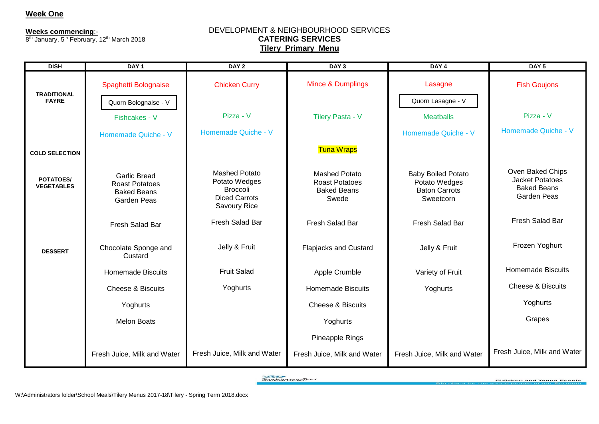## **Week One**

**Weeks commencing**:-

8<sup>th</sup> January, 5<sup>th</sup> February, 12<sup>th</sup> March 2018

#### DEVELOPMENT & NEIGHBOURHOOD SERVICES **CATERING SERVICES Tilery Primary Menu**

| <b>DISH</b>                        | DAY <sub>1</sub>                                                                         | DAY <sub>2</sub>                                                                          | DAY <sub>3</sub>                                                             | DAY <sub>4</sub>                                                                | DAY <sub>5</sub>                                                                       |
|------------------------------------|------------------------------------------------------------------------------------------|-------------------------------------------------------------------------------------------|------------------------------------------------------------------------------|---------------------------------------------------------------------------------|----------------------------------------------------------------------------------------|
| <b>TRADITIONAL</b><br><b>FAYRE</b> | Spaghetti Bolognaise<br>Quorn Bolognaise - V                                             | <b>Chicken Curry</b>                                                                      | <b>Mince &amp; Dumplings</b>                                                 | Lasagne<br>Quorn Lasagne - V                                                    | <b>Fish Goujons</b>                                                                    |
|                                    | Fishcakes - V                                                                            | Pizza - V                                                                                 | Tilery Pasta - V                                                             | <b>Meatballs</b>                                                                | Pizza - V                                                                              |
|                                    | Homemade Quiche - V                                                                      | Homemade Quiche - V                                                                       |                                                                              | Homemade Quiche - V                                                             | Homemade Quiche - V                                                                    |
| <b>COLD SELECTION</b>              |                                                                                          |                                                                                           | <b>Tuna Wraps</b>                                                            |                                                                                 |                                                                                        |
| POTATOES/<br><b>VEGETABLES</b>     | <b>Garlic Bread</b><br><b>Roast Potatoes</b><br><b>Baked Beans</b><br><b>Garden Peas</b> | <b>Mashed Potato</b><br>Potato Wedges<br>Broccoli<br><b>Diced Carrots</b><br>Savoury Rice | <b>Mashed Potato</b><br><b>Roast Potatoes</b><br><b>Baked Beans</b><br>Swede | <b>Baby Boiled Potato</b><br>Potato Wedges<br><b>Baton Carrots</b><br>Sweetcorn | Oven Baked Chips<br><b>Jacket Potatoes</b><br><b>Baked Beans</b><br><b>Garden Peas</b> |
|                                    | Fresh Salad Bar                                                                          | Fresh Salad Bar                                                                           | Fresh Salad Bar                                                              | Fresh Salad Bar                                                                 | Fresh Salad Bar                                                                        |
| <b>DESSERT</b>                     | Chocolate Sponge and<br>Custard                                                          | Jelly & Fruit                                                                             | <b>Flapjacks and Custard</b>                                                 | Jelly & Fruit                                                                   | Frozen Yoghurt                                                                         |
|                                    | <b>Homemade Biscuits</b>                                                                 | <b>Fruit Salad</b>                                                                        | Apple Crumble                                                                | Variety of Fruit                                                                | <b>Homemade Biscuits</b>                                                               |
|                                    | <b>Cheese &amp; Biscuits</b>                                                             | Yoghurts                                                                                  | <b>Homemade Biscuits</b>                                                     | Yoghurts                                                                        | <b>Cheese &amp; Biscuits</b>                                                           |
|                                    | Yoghurts                                                                                 |                                                                                           | <b>Cheese &amp; Biscuits</b>                                                 |                                                                                 | Yoghurts                                                                               |
|                                    | <b>Melon Boats</b>                                                                       |                                                                                           | Yoghurts                                                                     |                                                                                 | Grapes                                                                                 |
|                                    |                                                                                          |                                                                                           | Pineapple Rings                                                              |                                                                                 |                                                                                        |
|                                    | Fresh Juice, Milk and Water                                                              | Fresh Juice, Milk and Water                                                               | Fresh Juice, Milk and Water                                                  | Fresh Juice, Milk and Water                                                     | Fresh Juice, Milk and Water                                                            |

**SUBSTANTIONS**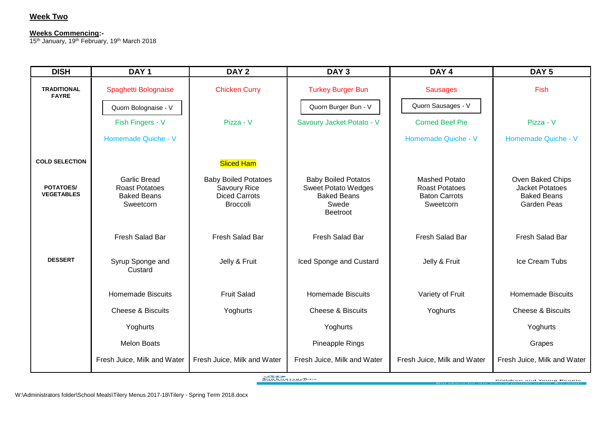# **Week Two**

#### **Week Four Weeks Commencing:-**

**Weeks commencing: -** 15<sup>th</sup> January, 19<sup>th</sup> February, 19<sup>th</sup> March 2018

| <b>DISH</b>                           | DAY <sub>1</sub>                                                                | DAY <sub>2</sub>                                                                       | DAY <sub>3</sub>                                                                                    | DAY <sub>4</sub>                                                                   | DAY <sub>5</sub>                                                                |
|---------------------------------------|---------------------------------------------------------------------------------|----------------------------------------------------------------------------------------|-----------------------------------------------------------------------------------------------------|------------------------------------------------------------------------------------|---------------------------------------------------------------------------------|
| <b>TRADITIONAL</b><br><b>FAYRE</b>    | Spaghetti Bolognaise                                                            | <b>Chicken Curry</b>                                                                   | <b>Turkey Burger Bun</b>                                                                            | <b>Sausages</b>                                                                    | Fish                                                                            |
|                                       | Quorn Bolognaise - V                                                            |                                                                                        | Quorn Burger Bun - V                                                                                | Quorn Sausages - V                                                                 |                                                                                 |
|                                       | Fish Fingers - V                                                                | Pizza - V                                                                              | Savoury Jacket Potato - V                                                                           | <b>Corned Beef Pie</b>                                                             | Pizza - V                                                                       |
|                                       | Homemade Quiche - V                                                             |                                                                                        |                                                                                                     | Homemade Quiche - V                                                                | Homemade Quiche - V                                                             |
| <b>COLD SELECTION</b>                 |                                                                                 | <b>Sliced Ham</b>                                                                      |                                                                                                     |                                                                                    |                                                                                 |
| <b>POTATOES/</b><br><b>VEGETABLES</b> | <b>Garlic Bread</b><br><b>Roast Potatoes</b><br><b>Baked Beans</b><br>Sweetcorn | <b>Baby Boiled Potatoes</b><br>Savoury Rice<br><b>Diced Carrots</b><br><b>Broccoli</b> | <b>Baby Boiled Potatos</b><br><b>Sweet Potato Wedges</b><br><b>Baked Beans</b><br>Swede<br>Beetroot | <b>Mashed Potato</b><br><b>Roast Potatoes</b><br><b>Baton Carrots</b><br>Sweetcorn | Oven Baked Chips<br><b>Jacket Potatoes</b><br><b>Baked Beans</b><br>Garden Peas |
|                                       | <b>Fresh Salad Bar</b>                                                          | Fresh Salad Bar                                                                        | Fresh Salad Bar                                                                                     | Fresh Salad Bar                                                                    | Fresh Salad Bar                                                                 |
| <b>DESSERT</b>                        | Syrup Sponge and<br>Custard                                                     | Jelly & Fruit                                                                          | Iced Sponge and Custard                                                                             | Jelly & Fruit                                                                      | Ice Cream Tubs                                                                  |
|                                       | <b>Homemade Biscuits</b>                                                        | <b>Fruit Salad</b>                                                                     | <b>Homemade Biscuits</b>                                                                            | Variety of Fruit                                                                   | <b>Homemade Biscuits</b>                                                        |
|                                       | <b>Cheese &amp; Biscuits</b>                                                    | Yoghurts                                                                               | <b>Cheese &amp; Biscuits</b>                                                                        | Yoghurts                                                                           | <b>Cheese &amp; Biscuits</b>                                                    |
|                                       | Yoghurts                                                                        |                                                                                        | Yoghurts                                                                                            |                                                                                    | Yoghurts                                                                        |
|                                       | <b>Melon Boats</b>                                                              |                                                                                        | Pineapple Rings                                                                                     |                                                                                    | Grapes                                                                          |
|                                       | Fresh Juice, Milk and Water                                                     | Fresh Juice, Milk and Water                                                            | Fresh Juice, Milk and Water                                                                         | Fresh Juice, Milk and Water                                                        | Fresh Juice, Milk and Water                                                     |

**SUARANTISMITHER**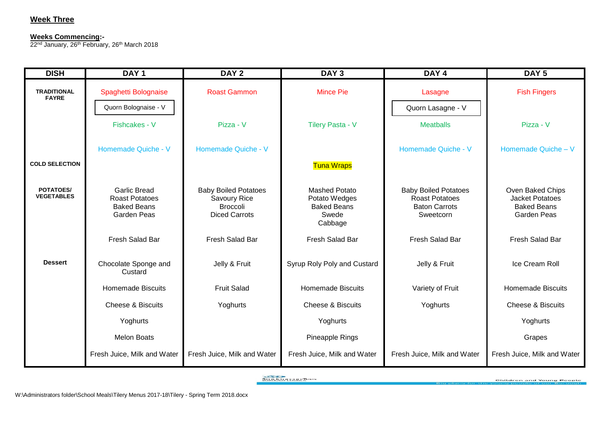## **Week Three**

#### **Weeks Commencing:-**

ZZ<sup>na</sup> January, Zo<sup>m</sup> Februar 22<sup>nd</sup> January, 26<sup>th</sup> February, 26<sup>th</sup> March 2018

| <b>DISH</b>                        | DAY <sub>1</sub>                                                                         | DAY <sub>2</sub>                                                                       | DAY <sub>3</sub>                                                                | DAY <sub>4</sub>                                                                          | DAY <sub>5</sub>                                                                       |
|------------------------------------|------------------------------------------------------------------------------------------|----------------------------------------------------------------------------------------|---------------------------------------------------------------------------------|-------------------------------------------------------------------------------------------|----------------------------------------------------------------------------------------|
| <b>TRADITIONAL</b><br><b>FAYRE</b> | Spaghetti Bolognaise<br>Quorn Bolognaise - V                                             | <b>Roast Gammon</b>                                                                    | <b>Mince Pie</b>                                                                | Lasagne<br>Quorn Lasagne - V                                                              | <b>Fish Fingers</b>                                                                    |
|                                    | Fishcakes - V                                                                            | Pizza - V                                                                              | <b>Tilery Pasta - V</b>                                                         | <b>Meatballs</b>                                                                          | Pizza - V                                                                              |
|                                    | Homemade Quiche - V                                                                      | Homemade Quiche - V                                                                    |                                                                                 | Homemade Quiche - V                                                                       | Homemade Quiche - V                                                                    |
| <b>COLD SELECTION</b>              |                                                                                          |                                                                                        | <b>Tuna Wraps</b>                                                               |                                                                                           |                                                                                        |
| POTATOES/<br><b>VEGETABLES</b>     | <b>Garlic Bread</b><br><b>Roast Potatoes</b><br><b>Baked Beans</b><br><b>Garden Peas</b> | <b>Baby Boiled Potatoes</b><br>Savoury Rice<br><b>Broccoli</b><br><b>Diced Carrots</b> | <b>Mashed Potato</b><br>Potato Wedges<br><b>Baked Beans</b><br>Swede<br>Cabbage | <b>Baby Boiled Potatoes</b><br><b>Roast Potatoes</b><br><b>Baton Carrots</b><br>Sweetcorn | Oven Baked Chips<br><b>Jacket Potatoes</b><br><b>Baked Beans</b><br><b>Garden Peas</b> |
|                                    | Fresh Salad Bar                                                                          | Fresh Salad Bar                                                                        | Fresh Salad Bar                                                                 | Fresh Salad Bar                                                                           | Fresh Salad Bar                                                                        |
| <b>Dessert</b>                     | Chocolate Sponge and<br>Custard                                                          | Jelly & Fruit                                                                          | Syrup Roly Poly and Custard                                                     | Jelly & Fruit                                                                             | Ice Cream Roll                                                                         |
|                                    | <b>Homemade Biscuits</b>                                                                 | <b>Fruit Salad</b>                                                                     | <b>Homemade Biscuits</b>                                                        | Variety of Fruit                                                                          | <b>Homemade Biscuits</b>                                                               |
|                                    | <b>Cheese &amp; Biscuits</b>                                                             | Yoghurts                                                                               | <b>Cheese &amp; Biscuits</b>                                                    | Yoghurts                                                                                  | <b>Cheese &amp; Biscuits</b>                                                           |
|                                    | Yoghurts                                                                                 |                                                                                        | Yoghurts                                                                        |                                                                                           | Yoghurts                                                                               |
|                                    | <b>Melon Boats</b>                                                                       |                                                                                        | Pineapple Rings                                                                 |                                                                                           | Grapes                                                                                 |
|                                    | Fresh Juice, Milk and Water                                                              | Fresh Juice, Milk and Water                                                            | Fresh Juice, Milk and Water                                                     | Fresh Juice, Milk and Water                                                               | Fresh Juice, Milk and Water                                                            |

**SUBSTANTIONS**